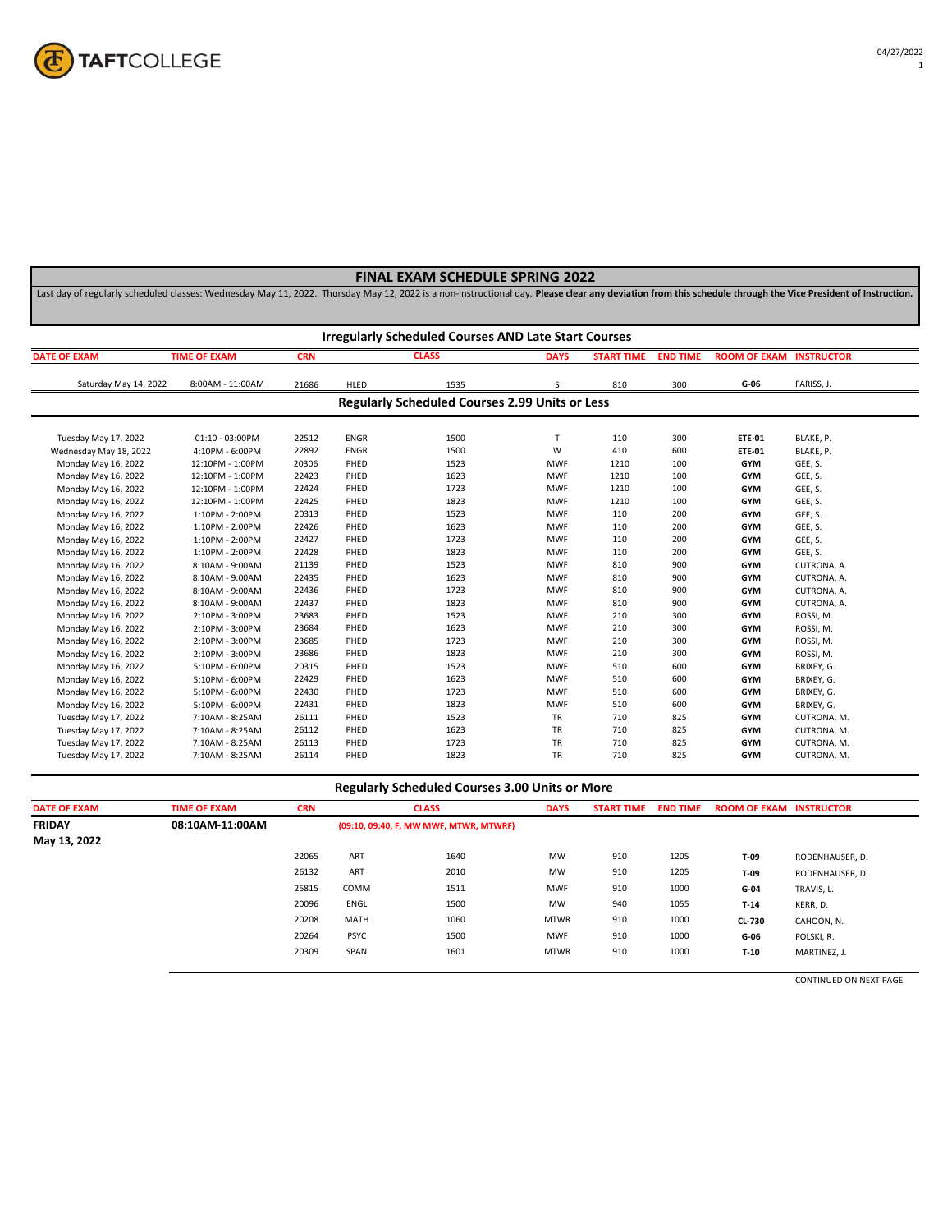

Last day of regularly scheduled classes: Wednesday May 11, 2022. Thursday May 12, 2022 is a non-instructional day. **Please clear any deviation from this schedule through the Vice President of Instruction.**

|                        | <b>Irregularly Scheduled Courses AND Late Start Courses</b> |            |             |                                                       |              |                   |                 |                                |             |  |  |
|------------------------|-------------------------------------------------------------|------------|-------------|-------------------------------------------------------|--------------|-------------------|-----------------|--------------------------------|-------------|--|--|
| <b>DATE OF EXAM</b>    | <b>TIME OF EXAM</b>                                         | <b>CRN</b> |             | <b>CLASS</b>                                          | <b>DAYS</b>  | <b>START TIME</b> | <b>END TIME</b> | <b>ROOM OF EXAM INSTRUCTOR</b> |             |  |  |
| Saturday May 14, 2022  | 8:00AM - 11:00AM                                            | 21686      | HLED        | 1535                                                  | S            | 810               | 300             | G-06                           | FARISS, J.  |  |  |
|                        |                                                             |            |             | <b>Regularly Scheduled Courses 2.99 Units or Less</b> |              |                   |                 |                                |             |  |  |
| Tuesday May 17, 2022   | 01:10 - 03:00PM                                             | 22512      | <b>ENGR</b> | 1500                                                  | $\mathsf{T}$ | 110               | 300             | <b>ETE-01</b>                  | BLAKE, P.   |  |  |
| Wednesday May 18, 2022 | 4:10PM - 6:00PM                                             | 22892      | <b>ENGR</b> | 1500                                                  | W            | 410               | 600             | <b>ETE-01</b>                  | BLAKE, P.   |  |  |
| Monday May 16, 2022    | 12:10PM - 1:00PM                                            | 20306      | PHED        | 1523                                                  | <b>MWF</b>   | 1210              | 100             | <b>GYM</b>                     | GEE, S.     |  |  |
| Monday May 16, 2022    | 12:10PM - 1:00PM                                            | 22423      | PHED        | 1623                                                  | <b>MWF</b>   | 1210              | 100             | <b>GYM</b>                     | GEE, S.     |  |  |
| Monday May 16, 2022    | 12:10PM - 1:00PM                                            | 22424      | PHED        | 1723                                                  | <b>MWF</b>   | 1210              | 100             | <b>GYM</b>                     | GEE, S.     |  |  |
| Monday May 16, 2022    | 12:10PM - 1:00PM                                            | 22425      | PHED        | 1823                                                  | <b>MWF</b>   | 1210              | 100             | <b>GYM</b>                     | GEE, S.     |  |  |
| Monday May 16, 2022    | 1:10PM - 2:00PM                                             | 20313      | PHED        | 1523                                                  | <b>MWF</b>   | 110               | 200             | <b>GYM</b>                     | GEE, S.     |  |  |
| Monday May 16, 2022    | 1:10PM - 2:00PM                                             | 22426      | PHED        | 1623                                                  | <b>MWF</b>   | 110               | 200             | <b>GYM</b>                     | GEE, S.     |  |  |
| Monday May 16, 2022    | 1:10PM - 2:00PM                                             | 22427      | PHED        | 1723                                                  | <b>MWF</b>   | 110               | 200             | <b>GYM</b>                     | GEE, S.     |  |  |
| Monday May 16, 2022    | 1:10PM - 2:00PM                                             | 22428      | PHED        | 1823                                                  | <b>MWF</b>   | 110               | 200             | <b>GYM</b>                     | GEE, S.     |  |  |
| Monday May 16, 2022    | 8:10AM - 9:00AM                                             | 21139      | PHED        | 1523                                                  | <b>MWF</b>   | 810               | 900             | <b>GYM</b>                     | CUTRONA, A. |  |  |
| Monday May 16, 2022    | 8:10AM - 9:00AM                                             | 22435      | PHED        | 1623                                                  | <b>MWF</b>   | 810               | 900             | <b>GYM</b>                     | CUTRONA, A. |  |  |
| Monday May 16, 2022    | 8:10AM - 9:00AM                                             | 22436      | PHED        | 1723                                                  | <b>MWF</b>   | 810               | 900             | <b>GYM</b>                     | CUTRONA, A. |  |  |
| Monday May 16, 2022    | 8:10AM - 9:00AM                                             | 22437      | PHED        | 1823                                                  | <b>MWF</b>   | 810               | 900             | <b>GYM</b>                     | CUTRONA, A. |  |  |
| Monday May 16, 2022    | 2:10PM - 3:00PM                                             | 23683      | PHED        | 1523                                                  | <b>MWF</b>   | 210               | 300             | <b>GYM</b>                     | ROSSI, M.   |  |  |
| Monday May 16, 2022    | 2:10PM - 3:00PM                                             | 23684      | PHED        | 1623                                                  | <b>MWF</b>   | 210               | 300             | <b>GYM</b>                     | ROSSI, M.   |  |  |
| Monday May 16, 2022    | 2:10PM - 3:00PM                                             | 23685      | PHED        | 1723                                                  | <b>MWF</b>   | 210               | 300             | <b>GYM</b>                     | ROSSI, M.   |  |  |
| Monday May 16, 2022    | 2:10PM - 3:00PM                                             | 23686      | PHED        | 1823                                                  | <b>MWF</b>   | 210               | 300             | <b>GYM</b>                     | ROSSI, M.   |  |  |
| Monday May 16, 2022    | 5:10PM - 6:00PM                                             | 20315      | PHED        | 1523                                                  | <b>MWF</b>   | 510               | 600             | <b>GYM</b>                     | BRIXEY, G.  |  |  |
| Monday May 16, 2022    | 5:10PM - 6:00PM                                             | 22429      | PHED        | 1623                                                  | <b>MWF</b>   | 510               | 600             | <b>GYM</b>                     | BRIXEY, G.  |  |  |
| Monday May 16, 2022    | 5:10PM - 6:00PM                                             | 22430      | PHED        | 1723                                                  | <b>MWF</b>   | 510               | 600             | <b>GYM</b>                     | BRIXEY, G.  |  |  |
| Monday May 16, 2022    | 5:10PM - 6:00PM                                             | 22431      | PHED        | 1823                                                  | <b>MWF</b>   | 510               | 600             | <b>GYM</b>                     | BRIXEY, G.  |  |  |
| Tuesday May 17, 2022   | 7:10AM - 8:25AM                                             | 26111      | PHED        | 1523                                                  | TR           | 710               | 825             | <b>GYM</b>                     | CUTRONA, M. |  |  |
| Tuesday May 17, 2022   | 7:10AM - 8:25AM                                             | 26112      | PHED        | 1623                                                  | TR           | 710               | 825             | <b>GYM</b>                     | CUTRONA, M. |  |  |
| Tuesday May 17, 2022   | 7:10AM - 8:25AM                                             | 26113      | PHED        | 1723                                                  | TR           | 710               | 825             | <b>GYM</b>                     | CUTRONA, M. |  |  |
| Tuesday May 17, 2022   | 7:10AM - 8:25AM                                             | 26114      | PHED        | 1823                                                  | TR           | 710               | 825             | <b>GYM</b>                     | CUTRONA, M. |  |  |

#### **Regularly Scheduled Courses 3.00 Units or More**

| <b>DATE OF EXAM</b> | <b>TIME OF EXAM</b> | <b>CRN</b> |             | <b>CLASS</b>                           | <b>DAYS</b> | <b>START TIME</b> | <b>END TIME</b> | <b>ROOM OF EXAM INSTRUCTOR</b> |                 |
|---------------------|---------------------|------------|-------------|----------------------------------------|-------------|-------------------|-----------------|--------------------------------|-----------------|
| <b>FRIDAY</b>       | 08:10AM-11:00AM     |            |             | (09:10, 09:40, F, MW MWF, MTWR, MTWRF) |             |                   |                 |                                |                 |
| May 13, 2022        |                     |            |             |                                        |             |                   |                 |                                |                 |
|                     |                     | 22065      | ART         | 1640                                   | <b>MW</b>   | 910               | 1205            | T-09                           | RODENHAUSER, D. |
|                     |                     | 26132      | ART         | 2010                                   | MW          | 910               | 1205            | T-09                           | RODENHAUSER, D. |
|                     |                     | 25815      | COMM        | 1511                                   | <b>MWF</b>  | 910               | 1000            | $G-04$                         | TRAVIS, L.      |
|                     |                     | 20096      | ENGL        | 1500                                   | <b>MW</b>   | 940               | 1055            | $T-14$                         | KERR, D.        |
|                     |                     | 20208      | <b>MATH</b> | 1060                                   | <b>MTWR</b> | 910               | 1000            | <b>CL-730</b>                  | CAHOON, N.      |
|                     |                     | 20264      | <b>PSYC</b> | 1500                                   | <b>MWF</b>  | 910               | 1000            | G-06                           | POLSKI, R.      |
|                     |                     | 20309      | SPAN        | 1601                                   | <b>MTWR</b> | 910               | 1000            | $T-10$                         | MARTINEZ, J.    |
|                     |                     |            |             |                                        |             |                   |                 |                                |                 |

CONTINUED ON NEXT PAGE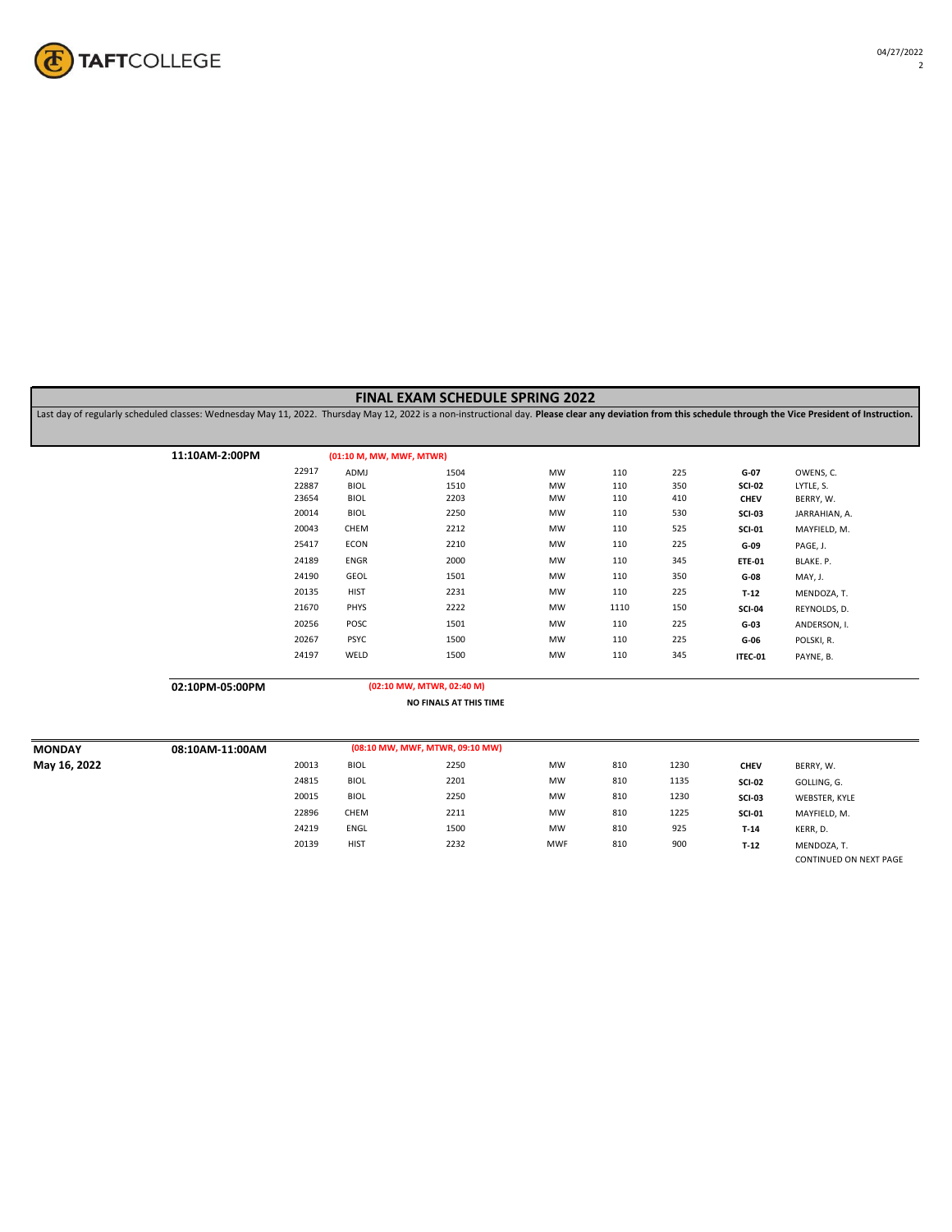

Last day of regularly scheduled classes: Wednesday May 11, 2022. Thursday May 12, 2022 is a non-instructional day. **Please clear any deviation from this schedule through the Vice President of Instruction.**

| 11:10AM-2:00PM | (01:10 M, MW, MWF, MTWR) |      |    |      |     |               |               |  |
|----------------|--------------------------|------|----|------|-----|---------------|---------------|--|
| 22917          | ADMJ                     | 1504 | MW | 110  | 225 | G-07          | OWENS, C.     |  |
| 22887          | <b>BIOL</b>              | 1510 | MW | 110  | 350 | <b>SCI-02</b> | LYTLE, S.     |  |
| 23654          | BIOL                     | 2203 | MW | 110  | 410 | <b>CHEV</b>   | BERRY, W.     |  |
| 20014          | BIOL                     | 2250 | MW | 110  | 530 | <b>SCI-03</b> | JARRAHIAN, A. |  |
| 20043          | CHEM                     | 2212 | MW | 110  | 525 | <b>SCI-01</b> | MAYFIELD, M.  |  |
| 25417          | ECON                     | 2210 | MW | 110  | 225 | G-09          | PAGE, J.      |  |
| 24189          | ENGR                     | 2000 | MW | 110  | 345 | <b>ETE-01</b> | BLAKE. P.     |  |
| 24190          | GEOL                     | 1501 | MW | 110  | 350 | G-08          | MAY, J.       |  |
| 20135          | <b>HIST</b>              | 2231 | MW | 110  | 225 | $T-12$        | MENDOZA, T.   |  |
| 21670          | PHYS                     | 2222 | MW | 1110 | 150 | <b>SCI-04</b> | REYNOLDS, D.  |  |
| 20256          | POSC                     | 1501 | MW | 110  | 225 | $G-03$        | ANDERSON, I.  |  |
| 20267          | <b>PSYC</b>              | 1500 | MW | 110  | 225 | G-06          | POLSKI, R.    |  |
| 24197          | WELD                     | 1500 | MW | 110  | 345 | ITEC-01       | PAYNE, B.     |  |
|                |                          |      |    |      |     |               |               |  |

**02:10PM-05:00PM**

```
(02:10 MW, MTWR, 02:40 M)
```
**NO FINALS AT THIS TIME**

| <b>MONDAY</b> | 08:10AM-11:00AM | (08:10 MW, MWF, MTWR, 09:10 MW) |             |      |            |     |      |               |                        |
|---------------|-----------------|---------------------------------|-------------|------|------------|-----|------|---------------|------------------------|
| May 16, 2022  |                 | 20013                           | <b>BIOL</b> | 2250 | <b>MW</b>  | 810 | 1230 | <b>CHEV</b>   | BERRY, W.              |
|               |                 | 24815                           | BIOL        | 2201 | <b>MW</b>  | 810 | 1135 | <b>SCI-02</b> | GOLLING, G.            |
|               |                 | 20015                           | <b>BIOL</b> | 2250 | <b>MW</b>  | 810 | 1230 | <b>SCI-03</b> | WEBSTER, KYLE          |
|               |                 | 22896                           | CHEM        | 2211 | <b>MW</b>  | 810 | 1225 | <b>SCI-01</b> | MAYFIELD, M.           |
|               |                 | 24219                           | ENGL        | 1500 | <b>MW</b>  | 810 | 925  | $T-14$        | KERR, D.               |
|               |                 | 20139                           | <b>HIST</b> | 2232 | <b>MWF</b> | 810 | 900  | $T-12$        | MENDOZA, T.            |
|               |                 |                                 |             |      |            |     |      |               | CONTINUED ON NEXT PAGE |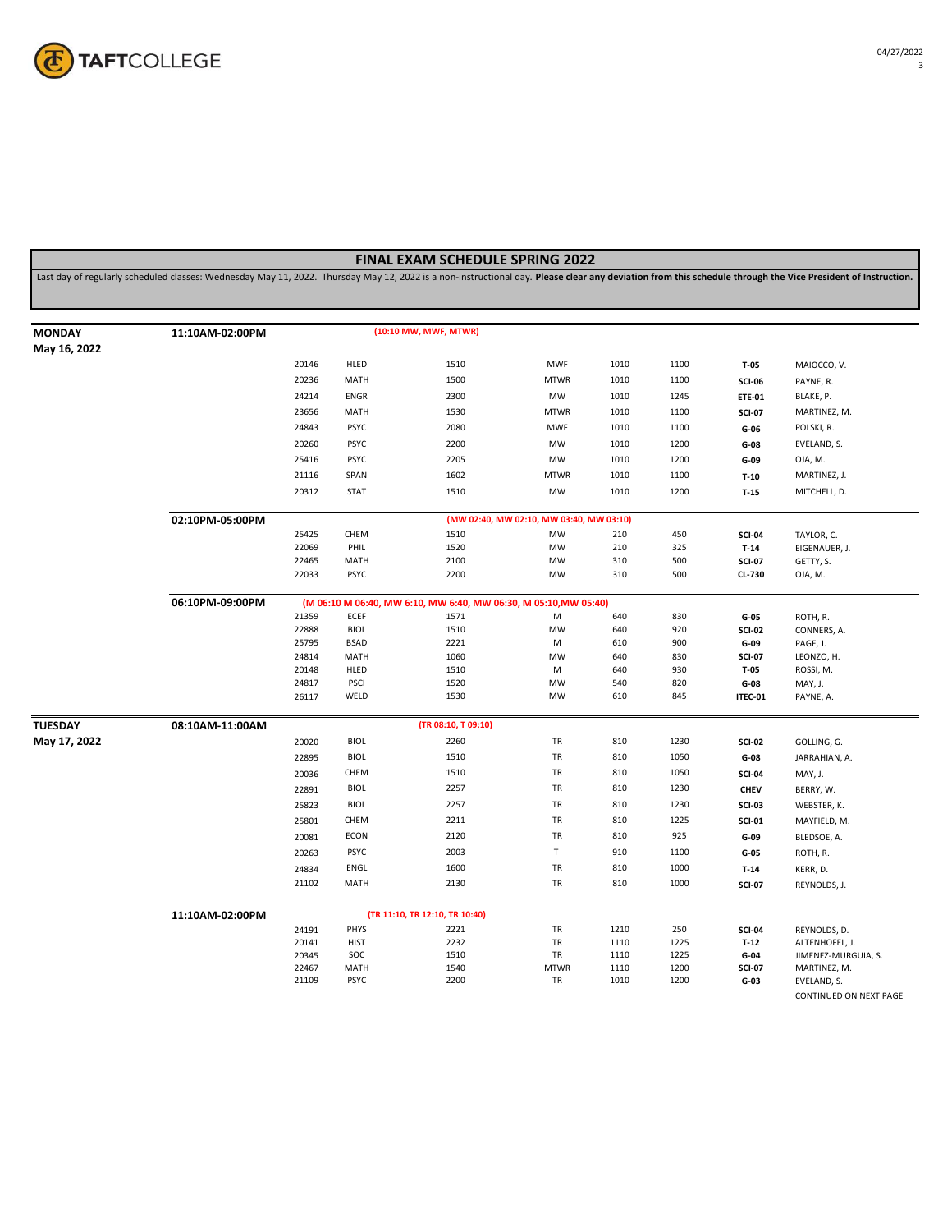

Last day of regularly scheduled classes: Wednesday May 11, 2022. Thursday May 12, 2022 is a non-instructional day. **Please clear any deviation from this schedule through the Vice President of Instruction.**

| <b>MONDAY</b>  | 11:10AM-02:00PM |                |                    | (10:10 MW, MWF, MTWR)                                            |                                          |              |              |                  |                                       |
|----------------|-----------------|----------------|--------------------|------------------------------------------------------------------|------------------------------------------|--------------|--------------|------------------|---------------------------------------|
| May 16, 2022   |                 |                |                    |                                                                  |                                          |              |              |                  |                                       |
|                |                 | 20146          | HLED               | 1510                                                             | <b>MWF</b>                               | 1010         | 1100         | T-05             | MAIOCCO, V.                           |
|                |                 | 20236          | MATH               | 1500                                                             | <b>MTWR</b>                              | 1010         | 1100         | <b>SCI-06</b>    | PAYNE, R.                             |
|                |                 | 24214          | ENGR               | 2300                                                             | MW                                       | 1010         | 1245         | <b>ETE-01</b>    | BLAKE, P.                             |
|                |                 | 23656          | MATH               | 1530                                                             | <b>MTWR</b>                              | 1010         | 1100         | <b>SCI-07</b>    | MARTINEZ, M.                          |
|                |                 | 24843          | <b>PSYC</b>        | 2080                                                             | <b>MWF</b>                               | 1010         | 1100         | $G-06$           | POLSKI, R.                            |
|                |                 | 20260          | <b>PSYC</b>        | 2200                                                             | MW                                       | 1010         | 1200         |                  | EVELAND, S.                           |
|                |                 |                |                    |                                                                  |                                          |              |              | $G-08$           |                                       |
|                |                 | 25416          | <b>PSYC</b>        | 2205                                                             | MW                                       | 1010         | 1200         | G-09             | OJA, M.                               |
|                |                 | 21116          | SPAN               | 1602                                                             | <b>MTWR</b>                              | 1010         | 1100         | $T-10$           | MARTINEZ, J.                          |
|                |                 | 20312          | <b>STAT</b>        | 1510                                                             | MW                                       | 1010         | 1200         | $T-15$           | MITCHELL, D.                          |
|                | 02:10PM-05:00PM |                |                    |                                                                  | (MW 02:40, MW 02:10, MW 03:40, MW 03:10) |              |              |                  |                                       |
|                |                 | 25425          | CHEM               | 1510                                                             | MW                                       | 210          | 450          | <b>SCI-04</b>    | TAYLOR, C.                            |
|                |                 | 22069          | PHIL               | 1520                                                             | <b>MW</b>                                | 210          | 325          | $T-14$           | EIGENAUER, J.                         |
|                |                 | 22465          | MATH               | 2100                                                             | MW                                       | 310          | 500          | <b>SCI-07</b>    | GETTY, S.                             |
|                |                 | 22033          | <b>PSYC</b>        | 2200                                                             | MW                                       | 310          | 500          | CL-730           | OJA, M.                               |
|                | 06:10PM-09:00PM |                |                    | (M 06:10 M 06:40, MW 6:10, MW 6:40, MW 06:30, M 05:10, MW 05:40) |                                          |              |              |                  |                                       |
|                |                 | 21359          | ECEF               | 1571                                                             | M                                        | 640          | 830          | $G-05$           | ROTH, R.                              |
|                |                 | 22888          | <b>BIOL</b>        | 1510                                                             | MW                                       | 640          | 920          | <b>SCI-02</b>    | CONNERS, A.                           |
|                |                 | 25795          | <b>BSAD</b>        | 2221                                                             | M                                        | 610          | 900          | G-09             | PAGE, J.                              |
|                |                 | 24814<br>20148 | MATH<br>HLED       | 1060<br>1510                                                     | MW<br>M                                  | 640<br>640   | 830<br>930   | <b>SCI-07</b>    | LEONZO, H.                            |
|                |                 | 24817          | PSCI               | 1520                                                             | <b>MW</b>                                | 540          | 820          | $T-05$<br>$G-08$ | ROSSI, M.<br>MAY, J.                  |
|                |                 | 26117          | WELD               | 1530                                                             | MW                                       | 610          | 845          | ITEC-01          | PAYNE, A.                             |
|                |                 |                |                    |                                                                  |                                          |              |              |                  |                                       |
| <b>TUESDAY</b> | 08:10AM-11:00AM |                |                    | (TR 08:10, T 09:10)                                              |                                          |              |              |                  |                                       |
| May 17, 2022   |                 | 20020          | <b>BIOL</b>        | 2260                                                             | TR                                       | 810          | 1230         | <b>SCI-02</b>    | GOLLING, G.                           |
|                |                 | 22895          | <b>BIOL</b>        | 1510                                                             | <b>TR</b>                                | 810          | 1050         | $G-08$           | JARRAHIAN, A.                         |
|                |                 | 20036          | CHEM               | 1510                                                             | TR                                       | 810          | 1050         | <b>SCI-04</b>    | MAY, J.                               |
|                |                 | 22891          | <b>BIOL</b>        | 2257                                                             | TR                                       | 810          | 1230         | <b>CHEV</b>      | BERRY, W.                             |
|                |                 | 25823          | <b>BIOL</b>        | 2257                                                             | TR                                       | 810          | 1230         | <b>SCI-03</b>    | WEBSTER, K.                           |
|                |                 | 25801          | CHEM               | 2211                                                             | TR                                       | 810          | 1225         | <b>SCI-01</b>    | MAYFIELD, M.                          |
|                |                 | 20081          | ECON               | 2120                                                             | TR                                       | 810          | 925          | $G-09$           | BLEDSOE, A.                           |
|                |                 | 20263          | <b>PSYC</b>        | 2003                                                             | $\mathsf T$                              | 910          | 1100         | $G-05$           | ROTH, R.                              |
|                |                 | 24834          | ENGL               | 1600                                                             | TR                                       | 810          | 1000         | $T-14$           | KERR, D.                              |
|                |                 | 21102          | MATH               | 2130                                                             | TR                                       | 810          | 1000         | <b>SCI-07</b>    | REYNOLDS, J.                          |
|                |                 |                |                    |                                                                  |                                          |              |              |                  |                                       |
|                | 11:10AM-02:00PM |                |                    | (TR 11:10, TR 12:10, TR 10:40)                                   |                                          |              |              |                  |                                       |
|                |                 | 24191          | PHYS               | 2221                                                             | TR                                       | 1210         | 250          | <b>SCI-04</b>    | REYNOLDS, D.                          |
|                |                 | 20141<br>20345 | <b>HIST</b><br>SOC | 2232<br>1510                                                     | TR<br>TR                                 | 1110<br>1110 | 1225<br>1225 | $T-12$<br>$G-04$ | ALTENHOFEL, J.<br>JIMENEZ-MURGUIA, S. |
|                |                 | 22467          | MATH               | 1540                                                             | <b>MTWR</b>                              | 1110         | 1200         | <b>SCI-07</b>    | MARTINEZ, M.                          |
|                |                 | 21109          | <b>PSYC</b>        | 2200                                                             | TR                                       | 1010         | 1200         | $G-03$           | EVELAND, S.                           |
|                |                 |                |                    |                                                                  |                                          |              |              |                  |                                       |

CONTINUED ON NEXT PAGE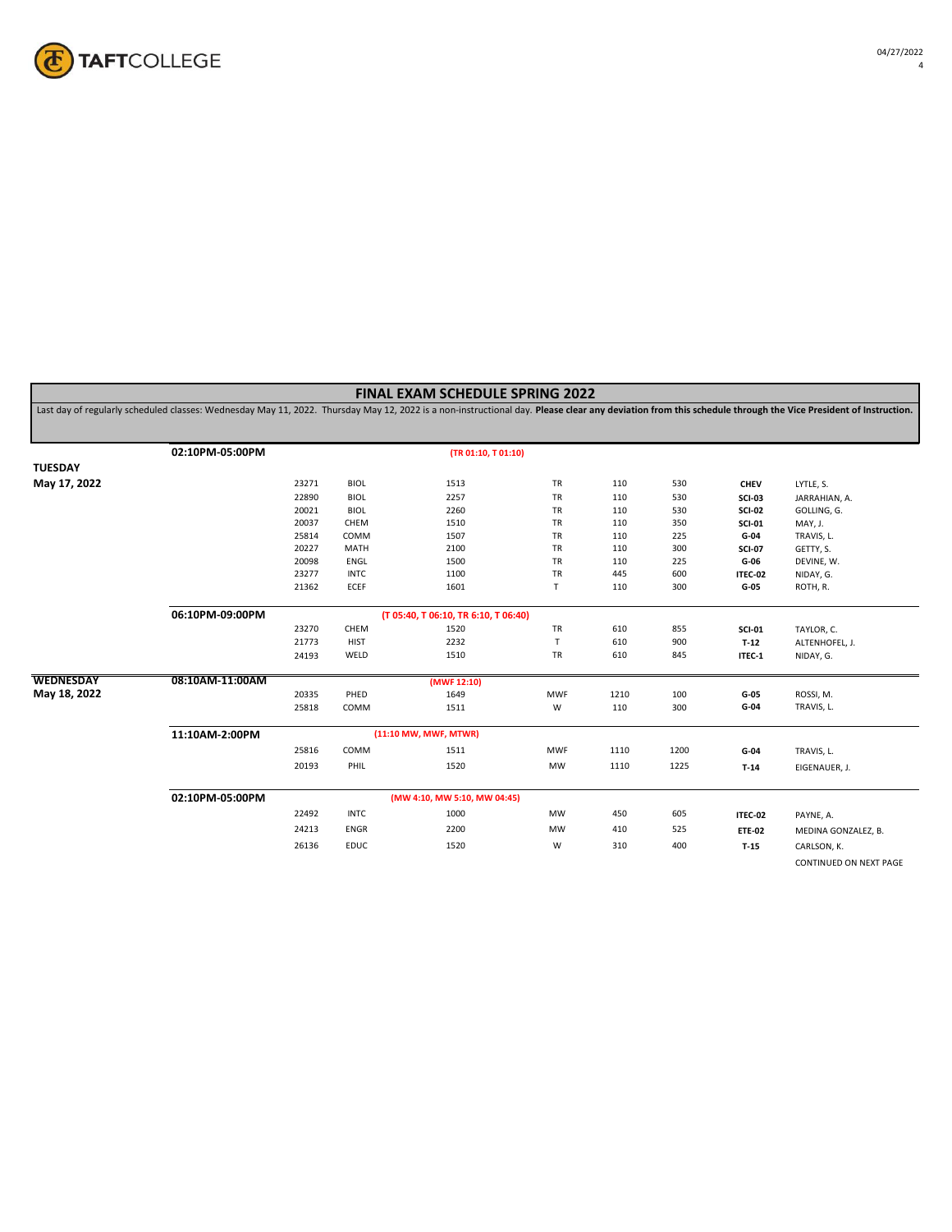

Last day of regularly scheduled classes: Wednesday May 11, 2022. Thursday May 12, 2022 is a non-instructional day. **Please clear any deviation from this schedule through the Vice President of Instruction.**

|                  | 02:10PM-05:00PM |       |             | (TR 01:10, T 01:10)                  |             |      |      |               |                        |
|------------------|-----------------|-------|-------------|--------------------------------------|-------------|------|------|---------------|------------------------|
| <b>TUESDAY</b>   |                 |       |             |                                      |             |      |      |               |                        |
| May 17, 2022     |                 | 23271 | <b>BIOL</b> | 1513                                 | TR          | 110  | 530  | <b>CHEV</b>   | LYTLE, S.              |
|                  |                 | 22890 | <b>BIOL</b> | 2257                                 | TR          | 110  | 530  | <b>SCI-03</b> | JARRAHIAN, A.          |
|                  |                 | 20021 | <b>BIOL</b> | 2260                                 | TR          | 110  | 530  | <b>SCI-02</b> | GOLLING, G.            |
|                  |                 | 20037 | CHEM        | 1510                                 | TR          | 110  | 350  | <b>SCI-01</b> | MAY, J.                |
|                  |                 | 25814 | COMM        | 1507                                 | TR          | 110  | 225  | G-04          | TRAVIS, L.             |
|                  |                 | 20227 | MATH        | 2100                                 | TR          | 110  | 300  | <b>SCI-07</b> | GETTY, S.              |
|                  |                 | 20098 | ENGL        | 1500                                 | TR          | 110  | 225  | $G-06$        | DEVINE, W.             |
|                  |                 | 23277 | <b>INTC</b> | 1100                                 | TR          | 445  | 600  | ITEC-02       | NIDAY, G.              |
|                  |                 | 21362 | ECEF        | 1601                                 | $\mathsf T$ | 110  | 300  | $G-05$        | ROTH, R.               |
|                  | 06:10PM-09:00PM |       |             | (T 05:40, T 06:10, TR 6:10, T 06:40) |             |      |      |               |                        |
|                  |                 | 23270 | CHEM        | 1520                                 | TR          | 610  | 855  | <b>SCI-01</b> | TAYLOR, C.             |
|                  |                 | 21773 | <b>HIST</b> | 2232                                 | T           | 610  | 900  | $T-12$        | ALTENHOFEL, J.         |
|                  |                 | 24193 | WELD        | 1510                                 | TR          | 610  | 845  | ITEC-1        | NIDAY, G.              |
| <b>WEDNESDAY</b> | 08:10AM-11:00AM |       |             | (MWF 12:10)                          |             |      |      |               |                        |
| May 18, 2022     |                 | 20335 | PHED        | 1649                                 | <b>MWF</b>  | 1210 | 100  | $G-05$        | ROSSI, M.              |
|                  |                 | 25818 | COMM        | 1511                                 | W           | 110  | 300  | $G-04$        | TRAVIS, L.             |
|                  | 11:10AM-2:00PM  |       |             | (11:10 MW, MWF, MTWR)                |             |      |      |               |                        |
|                  |                 | 25816 | COMM        | 1511                                 | <b>MWF</b>  | 1110 | 1200 | $G-04$        | TRAVIS, L.             |
|                  |                 | 20193 | PHIL        | 1520                                 | MW          | 1110 | 1225 | $T-14$        | EIGENAUER, J.          |
|                  | 02:10PM-05:00PM |       |             | (MW 4:10, MW 5:10, MW 04:45)         |             |      |      |               |                        |
|                  |                 |       |             |                                      |             |      |      |               |                        |
|                  |                 | 22492 | <b>INTC</b> | 1000                                 | MW          | 450  | 605  | ITEC-02       | PAYNE, A.              |
|                  |                 | 24213 | ENGR        | 2200                                 | MW          | 410  | 525  | <b>ETE-02</b> | MEDINA GONZALEZ, B.    |
|                  |                 | 26136 | <b>EDUC</b> | 1520                                 | W           | 310  | 400  | $T-15$        | CARLSON, K.            |
|                  |                 |       |             |                                      |             |      |      |               | CONTINUED ON NEXT PAGE |